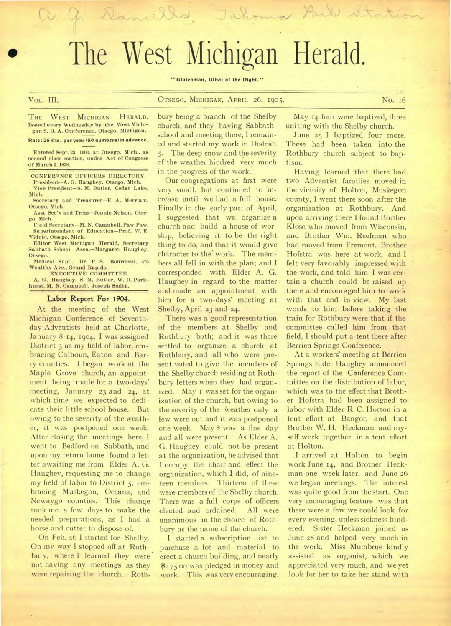# The West Michigan Herald.

V. G. Daniells, Tahoma Parts Statio

**" Watchman, What of the Hight."** 

# Vol,. III. **OTSEGO, MICHIGAN, APRIL 26, 1905.** No. 16

**THE WEST MICHIGAN HERALD. Issued every Wednesday by the West Michigan S. 1). A. Conference, Otsego, Michigan.** 

### Rate: 25 Cts. per year (50 numbers) in advance.

Entered Sept. 23, 1903. at Otsego. Mich.. as **second class matter, under Act of Congress of March 3, 1878.** 

**CONFERENCE OFFICERS DIRECTORY.** 

**President—A. G. Haughey, Otsego, Mich. Vice President—S. M. Butler, Cedar Lake,** 

**Mich. Secretary and Treasurer—E. A. Merriam.** 

**Otsego. Mich. Asst Sec'y and Treas—Jennie Nelson, Otse-**

**go. Mich. Field Secretary—M. N. Campbell. Paw Paw.** 

**Superintendent of Education—Prof. W. E. Videto, Otsego, Mich.** 

**Editor West Michigan Herald, Secretary Sabbath School Assn.—Margaret Haughey, Otsego.** 

**Medical Supt.. Dr. P. S. Bourdesu, 475 Wealthy Ave.. Grand Rapids.** 

**EXECUTIVE COMMITTEE. A. G. Haughey, S. M. Butler, W. D. Parkhurst. M. N. Campbell. Joseph Smith.** 

### Labor Report For 1904.

At the meeting of the West Michigan Conference of Seventhday Adventists held at Charlotte, January 8-14, 1904, I was assigned District 3 as my field of labor, embracing Calhoun, Eaton and Barry counties. I began work at the Maple Grove church, an appointment being made for a two-days' meeting, January 23 and 24, at which time we expected to dedicate their little school house. But owing to the severity of the weather, it was postponed one week. After closing the meetings here, I went to Bedford on Sabbath, and upon my return home found a letter awaiting me from Elder A. G. Haughey, requesting me to change my field of labor to District 5, embracing Muskegon, Oceana, and Newaygo counties. This change took me a few days to make the needed preparations, as I had a horse and cutter to dispose of.

On Feb. 26 I started for Shelby. On my way I stopped off at Rothbury, where I learned they were not having any meetings as they were repairing the church. Roth-

bury being a branch of the Shelby church, and they having Sabbathschool and meeting there, I remained and started my work in District 5. The deep snow and the severity of'the weather hindred very much in the progress of the work.

Our congregations at first were very small, but continued to 'increase until we had a full house. Finally in the early part of April, I suggested that we organize a church and build a house of worship, believing it to be the right thing to do, and that it would give character to the' work. The members all fell in with the plan; and I corresponded with Elder A. G. Haughey in regard to the matter and made an appointment with him for a two-days' meeting at Shelby, April 23 and 24.

There was a good representation of the members at Shelby and RothLu:y both; and it was there settled to organize a church at Rothbury, and all who were present voted to give the members of the Shelby church residing at Rothbury letters when they had organized. May I was set for the organization of the church, but owing to the severity of the weather only a few were out and it was postponed one week. May 8 was a fine day and all were present. As Elder A. G. Haughey could not be present at the organization, he advised that I occupy the chair and effect the organization, which I did, of nineteen members. Thirteen of these were members of the Shelby church. There was a full corps of officers elected and ordained. All were unanimous in the choice of Rothbury as the name of the church.

I started a subscription list to purchase a lot and material to erect a church building, and nearly \$475.00 was pledged in money and work. This was very encouraging.

May 14 four were baptized, three uniting with the Shelby church.

June 25 I baptized four more. These had been taken into the Rothbury church subject to baptism.

Having learned that there had two Adventist families moved in the vicinity of Holton, Muskegon county, I went there soon after the organization at Rothbury. And upon arriving there I found Brother Klose who moved from Wisconsin, and Brother Wm. Reefman who had moved from Fremont. Brother Hofstra was here at work, and I felt very favorably impressed with the work, and told him I was certain a church could be raised up there and encouraged him to work with that end in view. My last words to him before taking the train for Rothbury were that if the committee called him from that field, I should put a tent there after Berrien Springs Conference.

At a workers' meeting at Berrien Springs Elder Haughey announced the report of the Conference Committee on the distribution of labor, which was to the effect that Brother Hofstra had been assigned to labor with Elder R. C. Horton in a tent effort at Bangor, and that Brother W. H. Heckman and myself work together in a tent effort at Holton,

I arrived at Holton to begin work June 14, and Brother Heckman one week later, and June 26 we began meetings. The interest was quite good from the start. One very encouraging feature was that there were a few we could look for every evening, unless sickness hindered. Sister Heckman joined us June 28 and helped very much in the work. Miss Mumbrue kindly assisted as organist, which we appreciated very much, and we yet look for her to take her stand with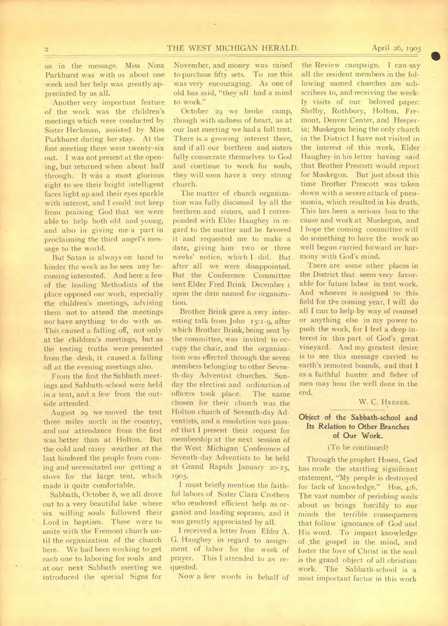us in the message. Miss Nina Parkhurst was with us about one week and her help was greatly appreciated by us all.

Another very important feature of the work was the children's meetings which were conducted by Sister Heckman, assisted by Miss Parkhurst during her stay. At the first meeting there were twenty-six out. I was not present at the opening, but returned when about half through. It was a most glorious sight to see their bright intelligent faces light up and their eyes sparkle with interest, and I could not keep from praising God that we were able to help both old and young, and also in giving me a part in proclaiming the third angel's message to the world.

But Satan is always on hand to hinder the work as he sees any becoming interested. And here a few of the leading Methodists of the place opposed our work, especially the children's meetings, advising them not to attend the meetings nor have anything to do with us. This caused a falling off, not only at the children's meetings, but as the testing truths were presented from the desk, it caused a falling off at the evening meetings also.

From the first the Sabbath meetings and Sabbath-school were held in a tent, and a few from the outside attended.

August 29 we moved the tent three miles north in the country, and our attendance from the first was better than at Holton. But the cold and rainy weather at the last hindered the people from coming and necessitated our getting a stove for the large tent, which made it quite comfortable.

Sabbath, October 8, we all drove out to a very beautiful lake where six willing souls followed their Lord in baptism. These were to unite with the Fremont church until the organization of the church here. We had been working to get each one to laboring for souls and at our next Sabbath meeting we introduced the special Signs for

November, and money was raised to purchase fifty sets. To me this was very encouraging. As one of old has said, "they all had a mind to work."

October 29 we broke camp, though with sadness of heart, as at our last meeting we had a full tent. There is a growing interest there, and if all our brethren and sisters fully consecrate themselves to God and continue to work for souls, they will soon have a very strong church.

The matter of church organization was fully discussed by all the brethren and sisters, and I corresponded with Elder Haughey in regard to the matter and he favored it and requested me to make a date, giving him two or three weeks' notice, which I did. But after all we were disappointed. But the Conference Committee sent Elder Fred Brink December upon the date named for organization.

Brother Brink gave a very interesting talk from John 15:1.9, after which Brother Brink, being sent by the committee, was invited to occupy the chair, and the organization was effected through the seven members belonging to other Seventh-day Adventist churches. Sunday the election and ordination of officers took place. The name chosen for their church was the Holton church of Seventh-day Adventists, and a resolution was passed that I present their request for membership at the next session of the West Michigan Conference of SeVenth-day Adventists to be held at Grand Rapids January 20-25, 1905-

I must briefly mention the faithful labors of Sister Clara Crothers who rendered efficient help as organist and leading soprano, and it was greatly appreciated by all.

I received a letter from Elder A. G. Haughey in regard to assignment of labor for the week of prayer. This I attended to as requested.

Now a few words in behalf of

the Review campaign. I can say all the resident members in the following named churches are subscribers to, and receiving the weekly visits of our beloved paper: Shelby, Rothbury, Holton, Fremont, Denver Center, and Hesperia; Muskegon being the only church in the District I have not visited in the interest of this work, Elder Haughey in his letter having said that Brother Prescott would report for Muskegon. But just about this time Brother Prescott was taken down with a severe attack of pneumonia, which resulted in his death. This has been a serious loss to the cause and work at Muskegon, and I hope the coming committee will do something to have the work so well begun carried forward in• harmony with God's mind.

There are some other places in the District that seem very favorable for future labor in tent work. And whoever is assigned to this field for the coming year, I will do all I can to help by way of counsel or anything else in my power to push the work, for I feel a deep interest in this part of God's great vineyard. And my greatest desire is to see this message carried to earth's remotest bounds, and that I as a faithful hunter and fisher of men may hear the well done in the end.

### W. C. HEBNER.

# Object of the Sabbath-school and Its Relation to Other Branches of Our Work.

## (To be continued)

Through the prophet Hosea, God has made the startling significant statement, "My people is destroyed for lack of knowledge." Hos, 4:6. The vast number of perishing souls' about us brings forcibly to our minds the terrible consequences that follow ignorance of-God and His word. To impart knowledge of .the gospel in the mind, and foster the love of Christ in the soul is the grand object of all christian work. The Sabbath-school is a most important factor in this work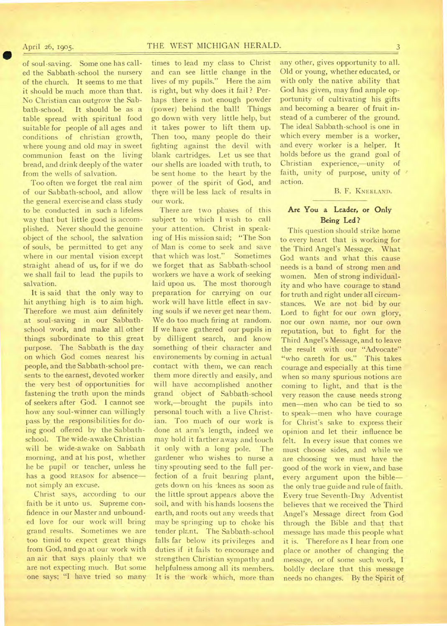# April 26, 1905. THE WEST MICHIGAN HERALD. 3

of soul-saving. Some one has called the Sabbath-school the nursery of the church. It seems to me that it should be much more than that. No Christian can outgrow the Sabbath-school. It should be as a table spread with spiritual food suitable for people of all ages and conditions of christian growth, where young and old may in sweet communion feast on the living bread, and drink deeply of the water from the wells of salvation.

Too often we forget the real aim of our Sabbath-school, and allow the general exercise and class study to• be conducted in such a lifeless way that but little good is accomplished. Never should the genuine object of the school, the salvation of souls, be permitted to get any where in our mental vision except straight ahead of us, for if we do we shall fail to lead the pupils to salvation.

It is said that the only way to hit anything high is to aim high. Therefore we must aim definitely at soul-saving in our Sabbathschool work, and make all other things subordinate to this great purpose. The Sabbath is the day on which God comes nearest his people, and the Sabbath-school presents to the earnest, devoted worker the very best of opportunities for fastening the truth upon the minds of seekers after God. I cannot see how any soul-winner can willingly pass by the responsibilities for doing good offered by the Sabbathschool. The wide-awake Christian will be wide-awake on Sabbath morning, and at his post, whether he be pupil or teacher, unless he has a good REASON for absence not simply an excuse.

Christ says, according to our faith be it unto us. Supreme confidence in our Master and unbounded love for our work will bring grand results. Sometimes we are too timid to expect great things from God, and go at our work with an air that says plainly that we are not expecting much. But some one says; "I have tried so many

times to lead my class to Christ and can see little change in the lives of my pupils." Here the aim is right, but why does it fail? Perhaps there is not enough powder (power) behind the ball! Things go down with very little help, but it takes power to lift them up. Then too, many people do their fighting against the devil with blank cartridges. Let us see that our shells are loaded with truth, to be sent home to the heart by the power of the spirit of God, and there will be less lack of results in our work.

There are two phases of this subject to which I wish to call your attention. Christ in speaking of His mission said; "The Son of Man is come to seek and save that which was lost." Sometimes we forget that as Sabbath-school workers we have a work of seeking laid upon us. The most thorough preparation for carrying on our work will have little effect in saving souls if we never get near them. We do too much firing at random. If we have gathered our pupils in by dilligent search, and know something of their character and environements by coming in actual contact with them, we can reach them more directly and easily, and will have accomplished another grand object of Sabbath-school work,—brought the pupils into personal touch with a live Christian. Too much of our work is done at arm's length, indeed we may hold it farther away and touch it only with a long pole. The gardener who wishes to nurse tiny sprouting seed to the full perfection of a fruit bearing plant, gets down on his knees as soon as the little sprout appears above the soil, and with his hands loosens the earth, and roots out any weeds that may be springing up to choke his tender plant. The Sabbath-school falls far below its privileges and duties if it fails to encourage and strengthen Christian sympathy and helpfulness among all its members. It is the work which, more than

any other, gives opportunity to all. Old or young, whether educated, or with only the native ability that God has given, may find ample opportunity of cultivating his gifts and becoming a bearer of fruit instead of a cumberer of the ground. The ideal Sabbath-school is one in which every member is a worker, and every worker is a helper. It holds before us the grand goal of Christian experience,—unity of faith, unity of purpose, unity of  $\prime$ action.

## B. F. KNEELAND.

# **Are You a Leader,** or Only **Being Led ?**

This question should strike home to every heart that is working for the Third Angel's Message. What God wants and what this cause needs is a band of strong men and women. Men of strong individuality and who have courage to stand for truth and right under all circumstances. We are not bid by our Lord to fight for our own glory, nor our own name, nor our own reputation, but to fight for the Third Angel's Message, and to leave the result with our "Advocate" "who careth for us." This takes courage and especially at this time when so many spurious notions are coming to light, and that is the very reason the cause needs strong men—men who can be tied to so to speak—men who have courage for Christ's sake to express their opinion and let their influence be felt. In every issue that comes we must choose sides, and while we are choosing we must have the good of the work in view, and base every argument upon the bible the only true guide and rule of faith. Every true Seventh-Day Adventist believes that we received the Third Angel's Message direct from God through the Bible and that that message has made this people what it is. Therefore as I hear from one place or another of changing the message, or of some such work, I boldly declare that this message needs no changes. By the Spirit of